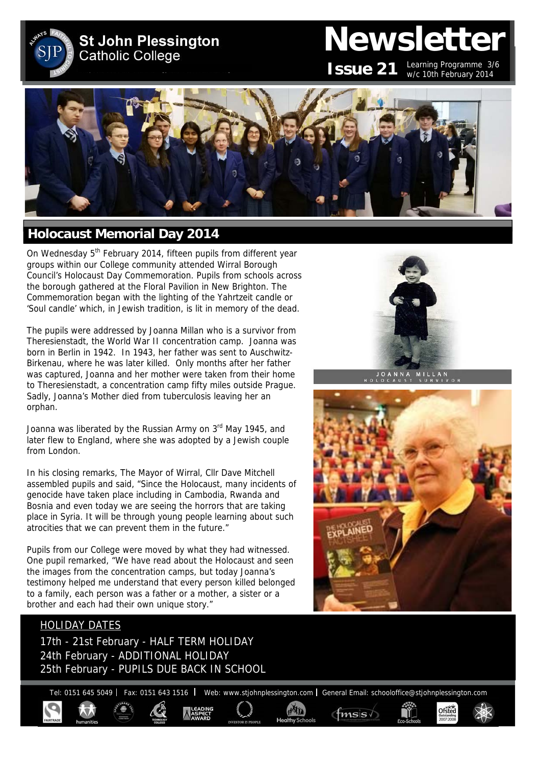**St John Plessington Catholic College** 

# **Newsletter**

**ISSUE 21** Learning Programme 3/6 w/c 10th February 2014



### **Holocaust Memorial Day 2014**

On Wednesday 5<sup>th</sup> February 2014, fifteen pupils from different year groups within our College community attended Wirral Borough Council's Holocaust Day Commemoration. Pupils from schools across the borough gathered at the Floral Pavilion in New Brighton. The Commemoration began with the lighting of the Yahrtzeit candle or 'Soul candle' which, in Jewish tradition, is lit in memory of the dead.

The pupils were addressed by Joanna Millan who is a survivor from Theresienstadt, the World War II concentration camp. Joanna was born in Berlin in 1942. In 1943, her father was sent to Auschwitz-Birkenau, where he was later killed. Only months after her father was captured, Joanna and her mother were taken from their home to Theresienstadt, a concentration camp fifty miles outside Prague. Sadly, Joanna's Mother died from tuberculosis leaving her an orphan.

Joanna was liberated by the Russian Army on  $3<sup>rd</sup>$  May 1945, and later flew to England, where she was adopted by a Jewish couple from London.

In his closing remarks, The Mayor of Wirral, Cllr Dave Mitchell assembled pupils and said, "Since the Holocaust, many incidents of genocide have taken place including in Cambodia, Rwanda and Bosnia and even today we are seeing the horrors that are taking place in Syria. It will be through young people learning about such atrocities that we can prevent them in the future."

Pupils from our College were moved by what they had witnessed. One pupil remarked, "We have read about the Holocaust and seen the images from the concentration camps, but today Joanna's testimony helped me understand that every person killed belonged to a family, each person was a father or a mother, a sister or a brother and each had their own unique story."

#### HOLIDAY DATES

17th - 21st February - HALF TERM HOLIDAY 24th February - ADDITIONAL HOLIDAY 25th February - PUPILS DUE BACK IN SCHOOL

Tel: 0151 645 5049 | Fax: 0151 643 1516 | Web: www.stjohnplessington.com | General Email: schooloffice@stjohnplessington.com

 $f$ <sub>mss</sub> $\sqrt{ }$ 



OANNA MILLAN



Ofsted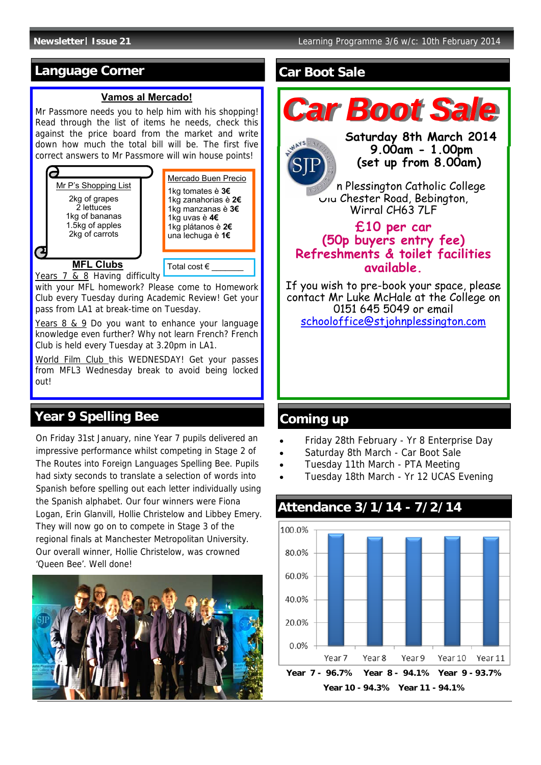## **Language Corner**

#### **Vamos al Mercado!**

Mr Passmore needs you to help him with his shopping! Read through the list of items he needs, check this against the price board from the market and write down how much the total bill will be. The first five correct answers to Mr Passmore will win house points!



Years 7 & 8 Having difficulty

with your MFL homework? Please come to Homework Club every Tuesday during Academic Review! Get your pass from LA1 at break-time on Tuesday.

Years 8 & 9 Do you want to enhance your language knowledge even further? Why not learn French? French Club is held every Tuesday at 3.20pm in LA1.

World Film Club this WEDNESDAY! Get your passes from MFL3 Wednesday break to avoid being locked out!

## **Year 9 Spelling Bee**

On Friday 31st January, nine Year 7 pupils delivered an impressive performance whilst competing in Stage 2 of The Routes into Foreign Languages Spelling Bee. Pupils had sixty seconds to translate a selection of words into Spanish before spelling out each letter individually using the Spanish alphabet. Our four winners were Fiona Logan, Erin Glanvill, Hollie Christelow and Libbey Emery. They will now go on to compete in Stage 3 of the regional finals at Manchester Metropolitan University. Our overall winner, Hollie Christelow, was crowned 'Queen Bee'. Well done!



#### **Car Boot Sale**



## **Coming up**

- Friday 28th February Yr 8 Enterprise Day
- Saturday 8th March Car Boot Sale
- Tuesday 11th March PTA Meeting
- Tuesday 18th March Yr 12 UCAS Evening



## **Attendance 3/1/14 - 7/2/14**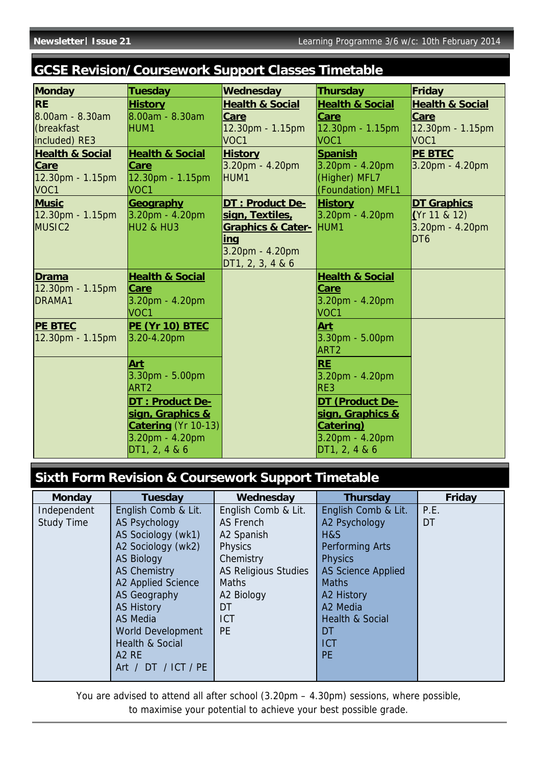# **GCSE Revision/Coursework Support Classes Timetable**

| <b>Monday</b>              | Tuesday                    | Wednesday                    | <b>Thursday</b>            | Friday                     |
|----------------------------|----------------------------|------------------------------|----------------------------|----------------------------|
| <b>RE</b>                  | <b>History</b>             | <b>Health &amp; Social</b>   | <b>Health &amp; Social</b> | <b>Health &amp; Social</b> |
| 8.00am - 8.30am            | 8.00am - 8.30am            | Care                         | <b>Care</b>                | <b>Care</b>                |
| (breakfast                 | HUM1                       | 12.30pm - 1.15pm             | 12.30pm - 1.15pm           | 12.30pm - 1.15pm           |
| included) RE3              |                            | VOC1                         | VOC <sub>1</sub>           | VOC1                       |
| <b>Health &amp; Social</b> | <b>Health &amp; Social</b> | <b>History</b>               | <b>Spanish</b>             | <b>PE BTEC</b>             |
| Care                       | <b>Care</b>                | 3.20pm - 4.20pm              | $3.20pm - 4.20pm$          | 3.20pm - 4.20pm            |
| 12.30pm - 1.15pm           | 12.30pm - 1.15pm           | HUM1                         | (Higher) MFL7              |                            |
| VOC1                       | VOC <sub>1</sub>           |                              | (Foundation) MFL1          |                            |
| <b>Music</b>               | <b>Geography</b>           | DT : Product De-             | <b>History</b>             | <b>DT Graphics</b>         |
| 12.30pm - 1.15pm           | $3.20pm - 4.20pm$          | sign, Textiles,              | $3.20pm - 4.20pm$          | (Yr 11 & 12)               |
| MUSIC <sub>2</sub>         | HU2 & HU3                  | <b>Graphics &amp; Cater-</b> | HUM <sub>1</sub>           | 3.20pm - 4.20pm            |
|                            |                            | <u>inq</u>                   |                            | DT <sub>6</sub>            |
|                            |                            | 3.20pm - 4.20pm              |                            |                            |
|                            |                            | DT1, 2, 3, 4 & 6             |                            |                            |
| <b>Drama</b>               | <b>Health &amp; Social</b> |                              | <b>Health &amp; Social</b> |                            |
| 12.30pm - 1.15pm           | <b>Care</b>                |                              | Care                       |                            |
| DRAMA1                     | 3.20pm - 4.20pm            |                              | 3.20pm - 4.20pm            |                            |
|                            | VOC <sub>1</sub>           |                              | VOC1                       |                            |
| <b>PE BTEC</b>             | PE (Yr 10) BTEC            |                              | Art                        |                            |
| $12.30pm - 1.15pm$         | $3.20 - 4.20$ pm           |                              | 3.30pm - 5.00pm            |                            |
|                            |                            |                              | ART <sub>2</sub>           |                            |
|                            | <b>Art</b>                 |                              | <b>RE</b>                  |                            |
|                            | $3.30pm - 5.00pm$          |                              | 3.20pm - 4.20pm            |                            |
|                            | ART <sub>2</sub>           |                              | RE3                        |                            |
|                            | <b>DT: Product De-</b>     |                              | DT (Product De-            |                            |
|                            | sign, Graphics &           |                              | sign, Graphics &           |                            |
|                            | <b>Catering</b> (Yr 10-13) |                              | <b>Catering</b> )          |                            |
|                            | $3.20pm - 4.20pm$          |                              | 3.20pm - 4.20pm            |                            |
|                            | DT1, 2, 4 & 6              |                              | DT1, 2, 4 & 6              |                            |

# **Sixth Form Revision & Coursework Support Timetable**

| <b>Monday</b>     | <b>Tuesday</b>             | Wednesday                   | <b>Thursday</b>            | Friday |
|-------------------|----------------------------|-----------------------------|----------------------------|--------|
| Independent       | English Comb & Lit.        | English Comb & Lit.         | English Comb & Lit.        | P.E.   |
| <b>Study Time</b> | <b>AS Psychology</b>       | AS French                   | A2 Psychology              | DT     |
|                   | AS Sociology (wk1)         | A2 Spanish                  | H&S                        |        |
|                   | A2 Sociology (wk2)         | <b>Physics</b>              | <b>Performing Arts</b>     |        |
|                   | <b>AS Biology</b>          | Chemistry                   | <b>Physics</b>             |        |
|                   | <b>AS Chemistry</b>        | <b>AS Religious Studies</b> | <b>AS Science Applied</b>  |        |
|                   | A2 Applied Science         | <b>Maths</b>                | <b>Maths</b>               |        |
|                   | AS Geography               | A2 Biology                  | A2 History                 |        |
|                   | <b>AS History</b>          | DT                          | A2 Media                   |        |
|                   | AS Media                   | <b>ICT</b>                  | <b>Health &amp; Social</b> |        |
|                   | World Development          | <b>PE</b>                   | DT                         |        |
|                   | <b>Health &amp; Social</b> |                             | <b>ICT</b>                 |        |
|                   | A <sub>2</sub> RE          |                             | <b>PE</b>                  |        |
|                   | Art / DT / ICT / PE        |                             |                            |        |
|                   |                            |                             |                            |        |

You are advised to attend all after school (3.20pm – 4.30pm) sessions, where possible, to maximise your potential to achieve your best possible grade.